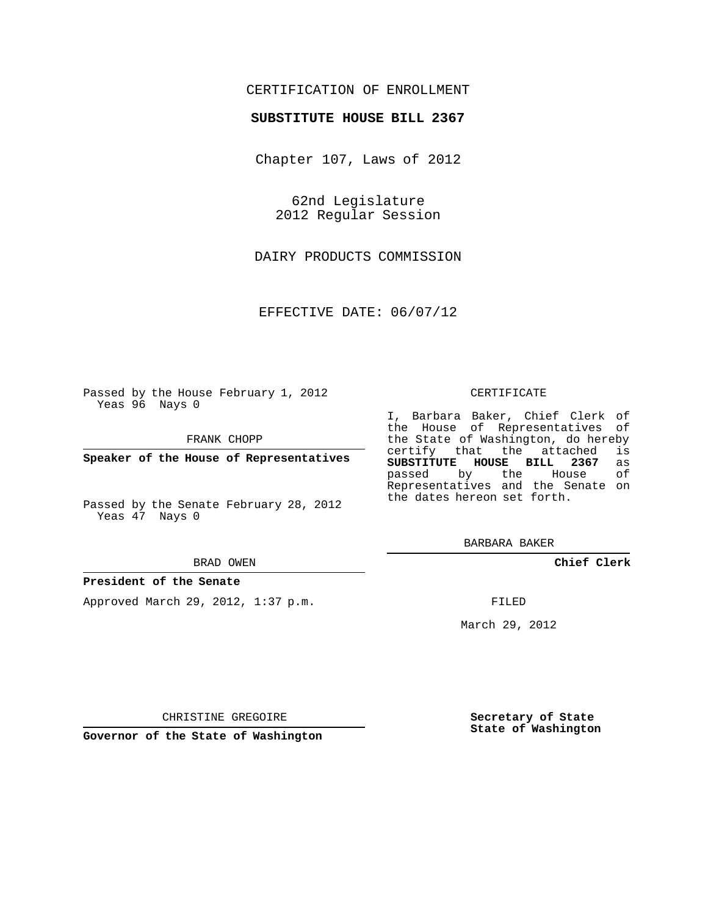## CERTIFICATION OF ENROLLMENT

### **SUBSTITUTE HOUSE BILL 2367**

Chapter 107, Laws of 2012

62nd Legislature 2012 Regular Session

DAIRY PRODUCTS COMMISSION

EFFECTIVE DATE: 06/07/12

Passed by the House February 1, 2012 Yeas 96 Nays 0

FRANK CHOPP

**Speaker of the House of Representatives**

Passed by the Senate February 28, 2012 Yeas 47 Nays 0

#### BRAD OWEN

#### **President of the Senate**

Approved March 29, 2012, 1:37 p.m.

#### CERTIFICATE

I, Barbara Baker, Chief Clerk of the House of Representatives of the State of Washington, do hereby<br>certify that the attached is certify that the attached **SUBSTITUTE HOUSE BILL 2367** as passed by the Representatives and the Senate on the dates hereon set forth.

BARBARA BAKER

**Chief Clerk**

FILED

March 29, 2012

**Secretary of State State of Washington**

**Governor of the State of Washington**

CHRISTINE GREGOIRE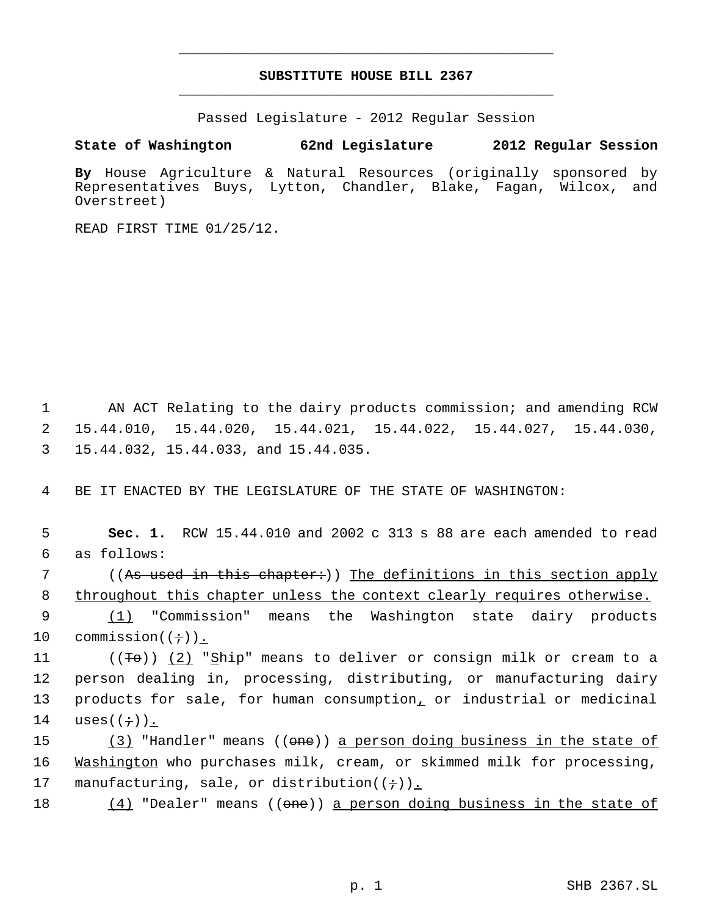# **SUBSTITUTE HOUSE BILL 2367** \_\_\_\_\_\_\_\_\_\_\_\_\_\_\_\_\_\_\_\_\_\_\_\_\_\_\_\_\_\_\_\_\_\_\_\_\_\_\_\_\_\_\_\_\_

\_\_\_\_\_\_\_\_\_\_\_\_\_\_\_\_\_\_\_\_\_\_\_\_\_\_\_\_\_\_\_\_\_\_\_\_\_\_\_\_\_\_\_\_\_

Passed Legislature - 2012 Regular Session

**State of Washington 62nd Legislature 2012 Regular Session**

**By** House Agriculture & Natural Resources (originally sponsored by Representatives Buys, Lytton, Chandler, Blake, Fagan, Wilcox, and Overstreet)

READ FIRST TIME 01/25/12.

 1 AN ACT Relating to the dairy products commission; and amending RCW 2 15.44.010, 15.44.020, 15.44.021, 15.44.022, 15.44.027, 15.44.030, 3 15.44.032, 15.44.033, and 15.44.035.

4 BE IT ENACTED BY THE LEGISLATURE OF THE STATE OF WASHINGTON:

 5 **Sec. 1.** RCW 15.44.010 and 2002 c 313 s 88 are each amended to read 6 as follows:

7 ((A<del>s used in this chapter:</del>)) <u>The definitions in this section apply</u> 8 throughout this chapter unless the context clearly requires otherwise.

9 (1) "Commission" means the Washington state dairy products 10 commission( $(\div)$ ).

11 ( $(\sqrt{F}e)$ ) (2) "Ship" means to deliver or consign milk or cream to a 12 person dealing in, processing, distributing, or manufacturing dairy 13 products for sale, for human consumption, or industrial or medicinal 14 uses $((\div))$ .

15 (3) "Handler" means ((<del>one</del>)) <u>a person doing business in the state of</u> 16 Washington who purchases milk, cream, or skimmed milk for processing, 17 manufacturing, sale, or distribution( $(+)$ ).

18 (4) "Dealer" means ((one)) a person doing business in the state of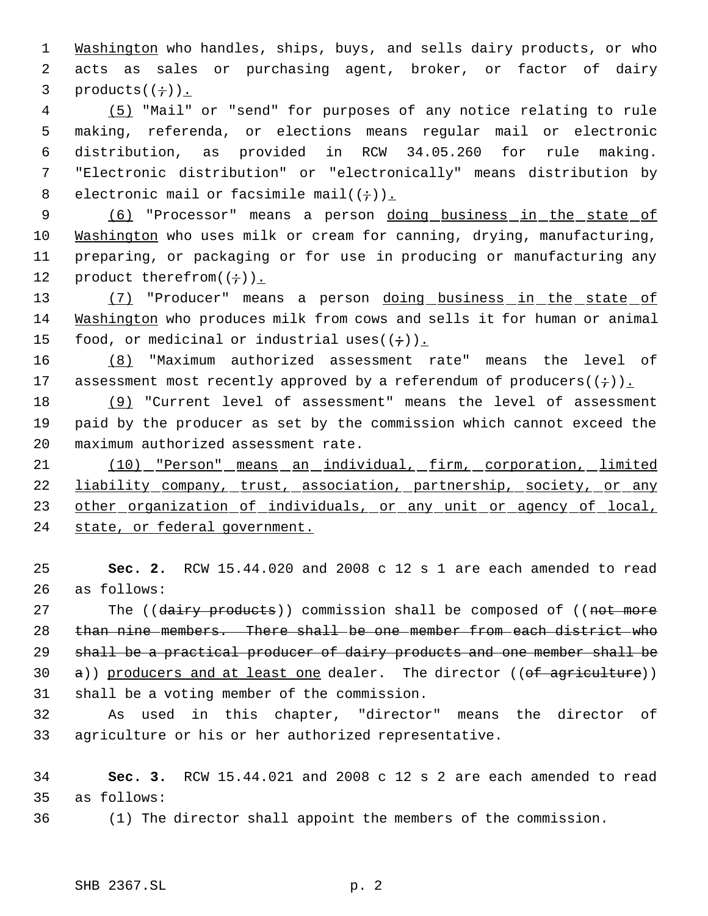1 Washington who handles, ships, buys, and sells dairy products, or who 2 acts as sales or purchasing agent, broker, or factor of dairy 3 products $((\div))$ .

 (5) "Mail" or "send" for purposes of any notice relating to rule making, referenda, or elections means regular mail or electronic distribution, as provided in RCW 34.05.260 for rule making. "Electronic distribution" or "electronically" means distribution by 8 electronic mail or facsimile mail( $(+)$ ).

9 (6) "Processor" means a person doing business in the state of 10 Washington who uses milk or cream for canning, drying, manufacturing, 11 preparing, or packaging or for use in producing or manufacturing any 12 product therefrom $((\div))_{\perp}$ 

13 (7) "Producer" means a person doing business in the state of 14 Washington who produces milk from cows and sells it for human or animal 15 food, or medicinal or industrial uses $((\div))$ .

16 (8) "Maximum authorized assessment rate" means the level of 17 assessment most recently approved by a referendum of producers( $(+)$ ).

18 (9) "Current level of assessment" means the level of assessment 19 paid by the producer as set by the commission which cannot exceed the 20 maximum authorized assessment rate.

21 (10) "Person" means an individual, firm, corporation, limited 22 liability company, trust, association, partnership, society, or any 23 other organization of individuals, or any unit or agency of local, 24 state, or federal government.

25 **Sec. 2.** RCW 15.44.020 and 2008 c 12 s 1 are each amended to read 26 as follows:

27 The ((dairy products)) commission shall be composed of ((not more than nine members. There shall be one member from each district who shall be a practical producer of dairy products and one member shall be  $\alpha$ )) producers and at least one dealer. The director ((of agriculture)) shall be a voting member of the commission.

32 As used in this chapter, "director" means the director of 33 agriculture or his or her authorized representative.

34 **Sec. 3.** RCW 15.44.021 and 2008 c 12 s 2 are each amended to read 35 as follows:

36 (1) The director shall appoint the members of the commission.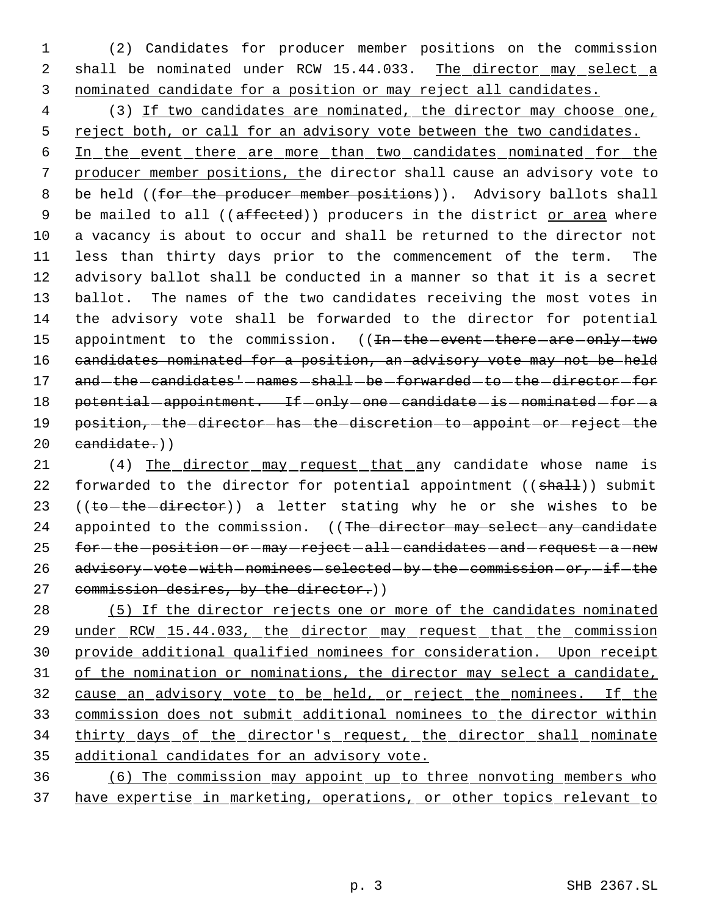1 (2) Candidates for producer member positions on the commission 2 shall be nominated under RCW 15.44.033. The director may select a 3 nominated candidate for a position or may reject all candidates.

 4 (3) If two candidates are nominated, the director may choose one, 5 reject both, or call for an advisory vote between the two candidates.

 6 In the event there are more than two candidates nominated for the 7 producer member positions, the director shall cause an advisory vote to 8 be held ((for the producer member positions)). Advisory ballots shall 9 be mailed to all ((affected)) producers in the district or area where 10 a vacancy is about to occur and shall be returned to the director not 11 less than thirty days prior to the commencement of the term. The 12 advisory ballot shall be conducted in a manner so that it is a secret 13 ballot. The names of the two candidates receiving the most votes in 14 the advisory vote shall be forwarded to the director for potential 15 appointment to the commission. ((In-the-event-there-are-only-two 16 candidates nominated for a position, an advisory vote may not be held 17 and -the -candidates' -names -shall -be -forwarded -to -the -director -for 18 potential - appointment. If - only - one - candidate - is - nominated - for - a 19 position, the director has the discretion to appoint or reject the 20 candidate.))

21 (4) The director may request that any candidate whose name is 22 forwarded to the director for potential appointment  $((shall))$  submit 23 ((to-the-director)) a letter stating why he or she wishes to be 24 appointed to the commission. ((The director may select any candidate 25 for-the-position-or-may-reject-all-candidates-and-request-a-new 26 advisory-vote-with-nominees-selected-by-the-commission-or,-if-the 27 commission desires, by the director.))

 (5) If the director rejects one or more of the candidates nominated 29 under RCW 15.44.033, the director may request that the commission provide additional qualified nominees for consideration. Upon receipt 31 of the nomination or nominations, the director may select a candidate, cause an advisory vote to be held, or reject the nominees. If the commission does not submit additional nominees to the director within 34 thirty days of the director's request, the director shall nominate additional candidates for an advisory vote.

36 (6) The commission may appoint up to three nonvoting members who 37 have expertise in marketing, operations, or other topics relevant to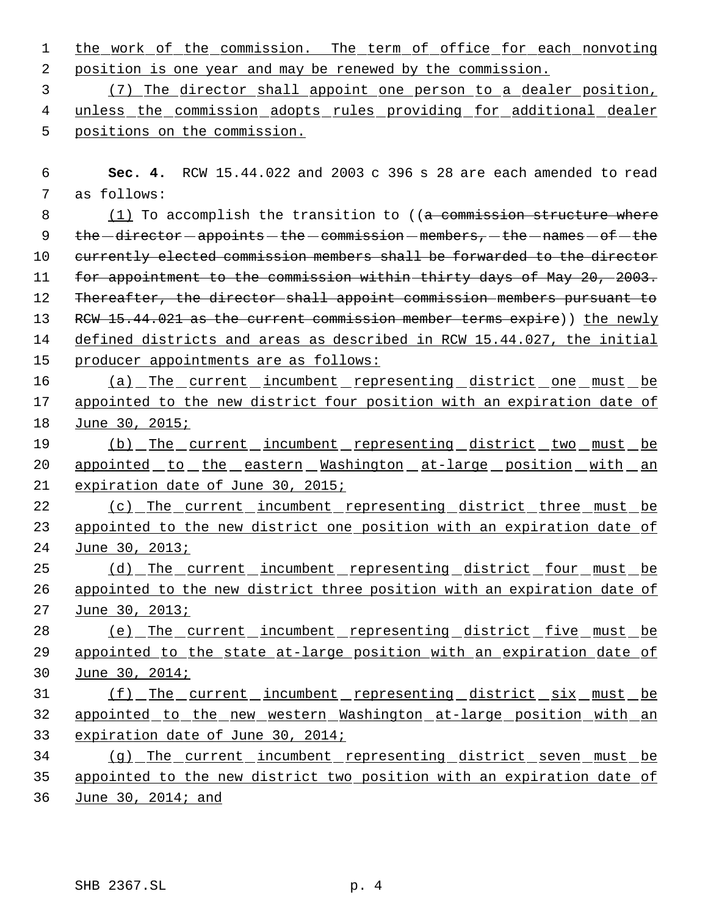|                                                              |  |  |  |  |  |  | 1 the work of the commission. The term of office for each nonvoting |
|--------------------------------------------------------------|--|--|--|--|--|--|---------------------------------------------------------------------|
| 2 position is one year and may be renewed by the commission. |  |  |  |  |  |  |                                                                     |

 3 (7) The director shall appoint one person to a dealer position, 4 unless the commission adopts rules providing for additional dealer 5 positions on the commission.

 6 **Sec. 4.** RCW 15.44.022 and 2003 c 396 s 28 are each amended to read 7 as follows:

8 (1) To accomplish the transition to ((a commission structure where 9  $the$  -director - appoints - the - commission - members, - the - names - of - the 10 currently elected commission members shall be forwarded to the director 11 for appointment to the commission within thirty days of May 20, 2003. 12 Thereafter, the director shall appoint commission members pursuant to 13 RCW 15.44.021 as the current commission member terms expire)) the newly 14 defined districts and areas as described in RCW 15.44.027, the initial 15 producer appointments are as follows:

16 (a) The current incumbent representing district one must be 17 appointed to the new district four position with an expiration date of 18 June 30, 2015;

19 (b) The current incumbent representing district two must be 20 appointed to the eastern Washington at-large position with an 21 expiration date of June 30, 2015;

22 (c) The current incumbent representing district three must be 23 appointed to the new district one position with an expiration date of 24 June 30, 2013;

25 (d) The current incumbent representing district four must be 26 appointed to the new district three position with an expiration date of 27 June 30, 2013;

28 (e) The current incumbent representing district five must be 29 appointed to the state at-large position with an expiration date of 30 June 30, 2014;

31 (f) The current incumbent representing district six must be 32 appointed to the new western Washington at-large position with an 33 expiration date of June 30, 2014;

34 (g) The current incumbent representing district seven must be 35 appointed to the new district two position with an expiration date of 36 June 30, 2014; and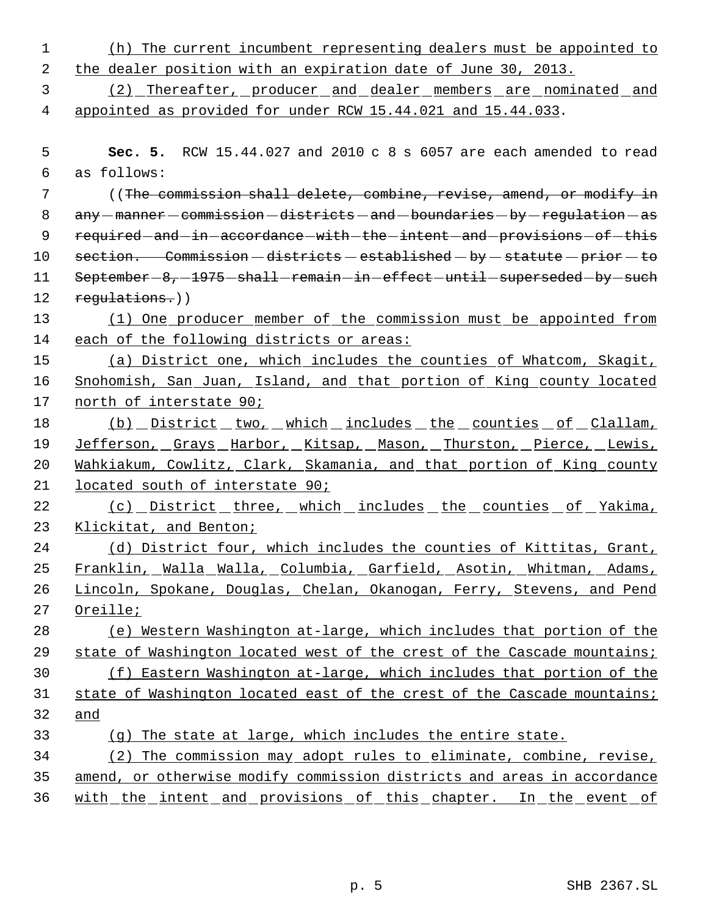| $\mathbf 1$ | (h) The current incumbent representing dealers must be appointed to            |  |  |  |  |  |  |
|-------------|--------------------------------------------------------------------------------|--|--|--|--|--|--|
| 2           | the dealer position with an expiration date of June 30, 2013.                  |  |  |  |  |  |  |
| 3           | (2) Thereafter, producer and dealer members are nominated and                  |  |  |  |  |  |  |
| 4           | appointed as provided for under RCW 15.44.021 and 15.44.033.                   |  |  |  |  |  |  |
|             |                                                                                |  |  |  |  |  |  |
| 5           | Sec. 5. RCW 15.44.027 and 2010 c 8 s 6057 are each amended to read             |  |  |  |  |  |  |
| 6           | as follows:                                                                    |  |  |  |  |  |  |
| 7           | ((The commission shall delete, combine, revise, amend, or modify in            |  |  |  |  |  |  |
| 8           | any -manner - commission - districts - and - boundaries - by - requlation - as |  |  |  |  |  |  |
| 9           | required and in accordance with the intent and provisions of this              |  |  |  |  |  |  |
| 10          | section. Commission - districts - established - by - statute - prior - to      |  |  |  |  |  |  |
| 11          | September-8,-1975-shall-remain-in-effect-until-superseded-by-such              |  |  |  |  |  |  |
| 12          | regulations.))                                                                 |  |  |  |  |  |  |
| 13          | (1) One producer member of the commission must be appointed from               |  |  |  |  |  |  |
| 14          | each of the following districts or areas:                                      |  |  |  |  |  |  |
| 15          | (a) District one, which includes the counties of Whatcom, Skagit,              |  |  |  |  |  |  |
| 16          | Snohomish, San Juan, Island, and that portion of King county located           |  |  |  |  |  |  |
| 17          | north of interstate 90;                                                        |  |  |  |  |  |  |
| 18          | <u>(b) pistrict two, which includes the counties of Clallam,</u>               |  |  |  |  |  |  |
| 19          | Jefferson, Grays Harbor, Kitsap, Mason, Thurston, Pierce, Lewis,               |  |  |  |  |  |  |
| 20          | Wahkiakum, Cowlitz, Clark, Skamania, and that portion of King county           |  |  |  |  |  |  |
| 21          | located south of interstate 90;                                                |  |  |  |  |  |  |
| 22          | (c) District three, which includes the counties of Yakima,                     |  |  |  |  |  |  |
| 23          | Klickitat, and Benton;                                                         |  |  |  |  |  |  |
| 24          | (d) District four, which includes the counties of Kittitas, Grant,             |  |  |  |  |  |  |
| 25          | Franklin, Walla Walla, Columbia, Garfield, Asotin, Whitman, Adams,             |  |  |  |  |  |  |
| 26          | Lincoln, Spokane, Douglas, Chelan, Okanogan, Ferry, Stevens, and Pend          |  |  |  |  |  |  |
| 27          | Oreille;                                                                       |  |  |  |  |  |  |
| 28          | (e) Western Washington at-large, which includes that portion of the            |  |  |  |  |  |  |
| 29          | state of Washington located west of the crest of the Cascade mountains;        |  |  |  |  |  |  |
| 30          | (f) Eastern Washington at-large, which includes that portion of the            |  |  |  |  |  |  |
| 31          | state of Washington located east of the crest of the Cascade mountains;        |  |  |  |  |  |  |
| 32          | and                                                                            |  |  |  |  |  |  |
| 33          | (g) The state at large, which includes the entire state.                       |  |  |  |  |  |  |
| 34          | (2) The commission may adopt rules to eliminate, combine, revise,              |  |  |  |  |  |  |
| 35          | amend, or otherwise modify commission districts and areas in accordance        |  |  |  |  |  |  |
| 36          | <u>with the intent and provisions of this chapter. In the event of</u>         |  |  |  |  |  |  |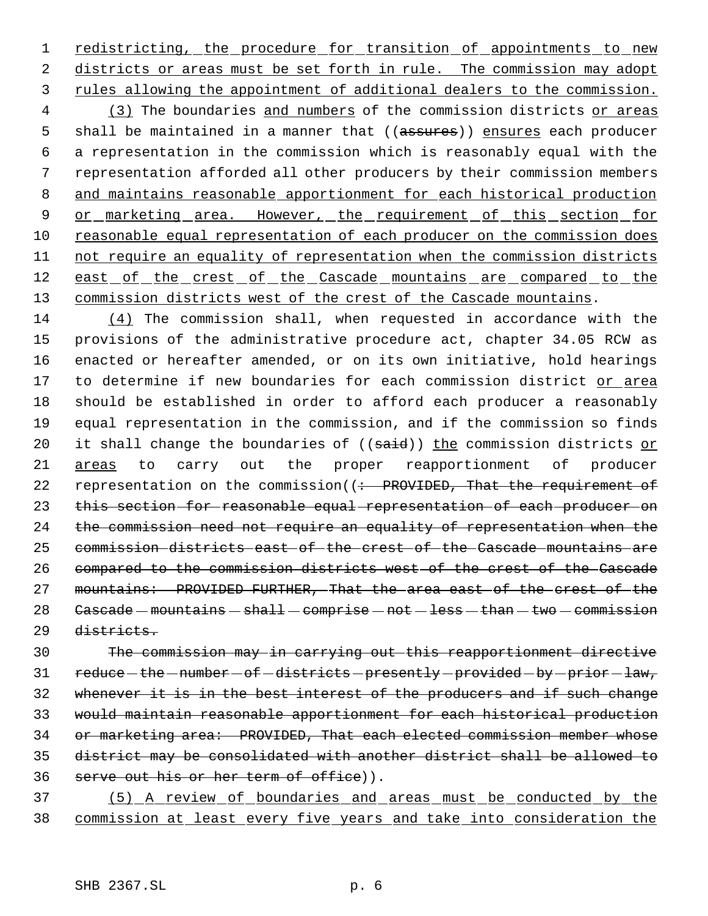1 redistricting, the procedure for transition of appointments to new districts or areas must be set forth in rule. The commission may adopt rules allowing the appointment of additional dealers to the commission.

4 (3) The boundaries and numbers of the commission districts or areas 5 shall be maintained in a manner that ((assures)) ensures each producer a representation in the commission which is reasonably equal with the representation afforded all other producers by their commission members and maintains reasonable apportionment for each historical production 9 or marketing area. However, the requirement of this section for reasonable equal representation of each producer on the commission does not require an equality of representation when the commission districts 12 east of the crest of the Cascade mountains are compared to the 13 commission districts west of the crest of the Cascade mountains.

 (4) The commission shall, when requested in accordance with the provisions of the administrative procedure act, chapter 34.05 RCW as enacted or hereafter amended, or on its own initiative, hold hearings 17 to determine if new boundaries for each commission district or area should be established in order to afford each producer a reasonably equal representation in the commission, and if the commission so finds 20 it shall change the boundaries of  $((\text{said}))$  the commission districts or areas to carry out the proper reapportionment of producer 22 representation on the commission((: PROVIDED, That the requirement of 23 this section for reasonable equal representation of each producer on the commission need not require an equality of representation when the commission districts east of the crest of the Cascade mountains are compared to the commission districts west of the crest of the Cascade mountains: PROVIDED FURTHER, That the area east of the crest of the Cascade - mountains - shall - comprise - not - less - than - two - commission districts.

 The commission may in carrying out this reapportionment directive 31 reduce - the - number - of - districts - presently - provided - by - prior - law, whenever it is in the best interest of the producers and if such change would maintain reasonable apportionment for each historical production 34 or marketing area: PROVIDED, That each elected commission member whose district may be consolidated with another district shall be allowed to serve out his or her term of office)).

 (5) A review of boundaries and areas must be conducted by the commission at least every five years and take into consideration the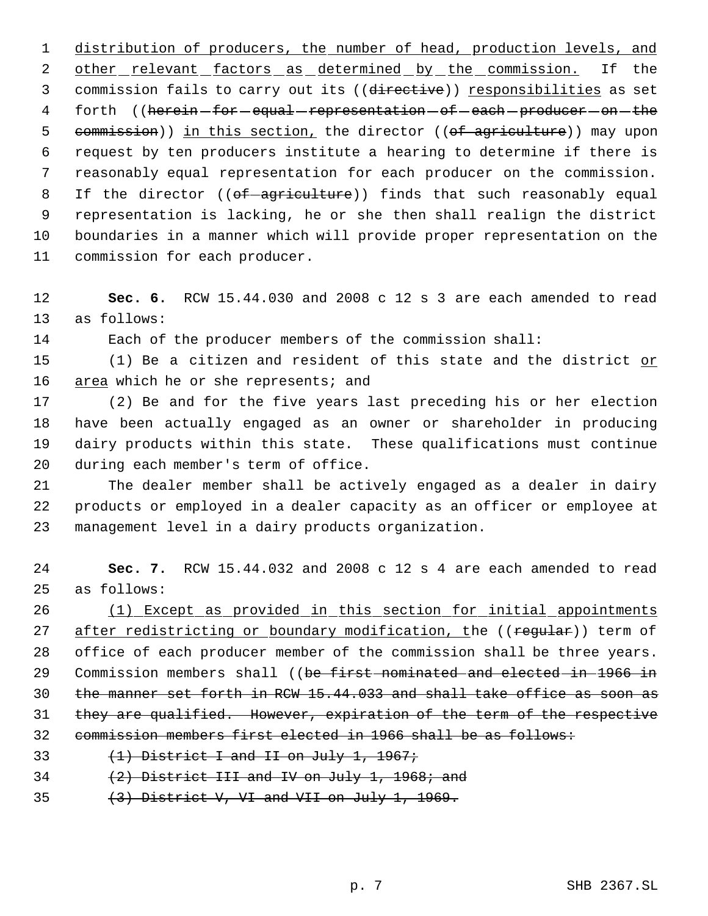distribution of producers, the number of head, production levels, and 2 other relevant factors as determined by the commission. If the 3 commission fails to carry out its ((directive)) responsibilities as set 4 forth ((herein-for-equal-representation-of-each-producer-on-the 5 commission)) in this section, the director ((of agriculture)) may upon request by ten producers institute a hearing to determine if there is reasonably equal representation for each producer on the commission. 8 If the director ((of-agriculture)) finds that such reasonably equal representation is lacking, he or she then shall realign the district boundaries in a manner which will provide proper representation on the commission for each producer.

 **Sec. 6.** RCW 15.44.030 and 2008 c 12 s 3 are each amended to read as follows:

Each of the producer members of the commission shall:

15 (1) Be a citizen and resident of this state and the district or 16 area which he or she represents; and

 (2) Be and for the five years last preceding his or her election have been actually engaged as an owner or shareholder in producing dairy products within this state. These qualifications must continue during each member's term of office.

 The dealer member shall be actively engaged as a dealer in dairy products or employed in a dealer capacity as an officer or employee at management level in a dairy products organization.

 **Sec. 7.** RCW 15.44.032 and 2008 c 12 s 4 are each amended to read as follows:

 (1) Except as provided in this section for initial appointments 27 after redistricting or boundary modification, the ((regular)) term of office of each producer member of the commission shall be three years. 29 Commission members shall ((be first nominated and elected in 1966 in the manner set forth in RCW 15.44.033 and shall take office as soon as they are qualified. However, expiration of the term of the respective commission members first elected in 1966 shall be as follows:

- 33  $(1)$  District I and II on July 1, 1967;
- 34  $(2)$  District III and IV on July 1, 1968; and
- 35  $(3)$  District V, VI and VII on July 1, 1969.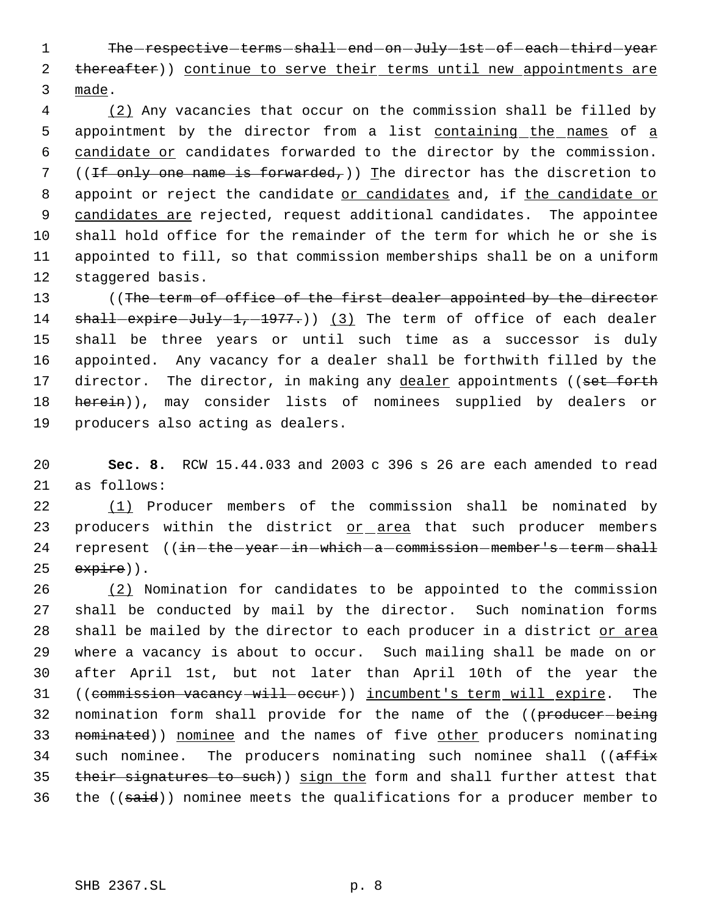1 The respective terms shall end on July 1st of each third year 2 thereafter)) continue to serve their terms until new appointments are 3 made.

 4 (2) Any vacancies that occur on the commission shall be filled by 5 appointment by the director from a list containing the names of a 6 candidate or candidates forwarded to the director by the commission. 7 ((If only one name is forwarded,)) The director has the discretion to 8 appoint or reject the candidate or candidates and, if the candidate or 9 candidates are rejected, request additional candidates. The appointee 10 shall hold office for the remainder of the term for which he or she is 11 appointed to fill, so that commission memberships shall be on a uniform 12 staggered basis.

13 ((The term of office of the first dealer appointed by the director 14 shall-expire-July-1,-1977.)) (3) The term of office of each dealer 15 shall be three years or until such time as a successor is duly 16 appointed. Any vacancy for a dealer shall be forthwith filled by the 17 director. The director, in making any dealer appointments ((set forth 18 herein)), may consider lists of nominees supplied by dealers or 19 producers also acting as dealers.

20 **Sec. 8.** RCW 15.44.033 and 2003 c 396 s 26 are each amended to read 21 as follows:

22 (1) Producer members of the commission shall be nominated by 23 producers within the district or area that such producer members 24 represent ((in-the-year-in-which-a-commission-member's-term-shall  $25$  expire)).

26 (2) Nomination for candidates to be appointed to the commission 27 shall be conducted by mail by the director. Such nomination forms 28 shall be mailed by the director to each producer in a district or area 29 where a vacancy is about to occur. Such mailing shall be made on or 30 after April 1st, but not later than April 10th of the year the 31 ((commission vacancy will occur)) incumbent's term will expire. The 32 nomination form shall provide for the name of the ((producer-being 33 nominated)) nominee and the names of five other producers nominating 34 such nominee. The producers nominating such nominee shall ((affix 35 their signatures to such) sign the form and shall further attest that 36 the ((said)) nominee meets the qualifications for a producer member to